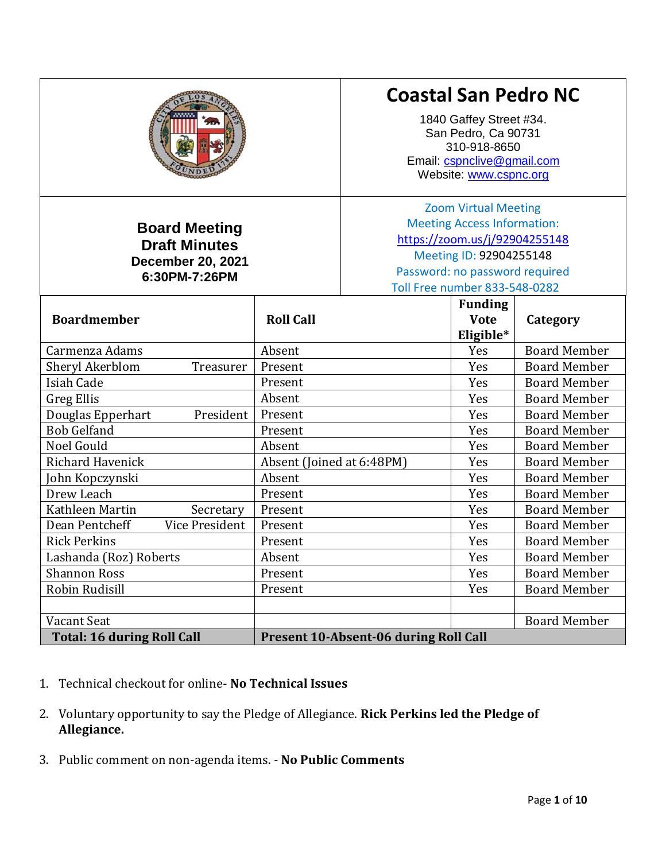|                                                                                           |                           | <b>Coastal San Pedro NC</b><br>1840 Gaffey Street #34.<br>San Pedro, Ca 90731<br>310-918-8650<br>Email: cspnclive@gmail.com<br>Website: www.cspnc.org                                                   |                                            |                     |
|-------------------------------------------------------------------------------------------|---------------------------|---------------------------------------------------------------------------------------------------------------------------------------------------------------------------------------------------------|--------------------------------------------|---------------------|
| <b>Board Meeting</b><br><b>Draft Minutes</b><br><b>December 20, 2021</b><br>6:30PM-7:26PM |                           | <b>Zoom Virtual Meeting</b><br><b>Meeting Access Information:</b><br>https://zoom.us/j/92904255148<br>Meeting ID: 92904255148<br>Password: no password required<br><b>Toll Free number 833-548-0282</b> |                                            |                     |
| <b>Boardmember</b>                                                                        | <b>Roll Call</b>          |                                                                                                                                                                                                         | <b>Funding</b><br><b>Vote</b><br>Eligible* | Category            |
| Carmenza Adams                                                                            | Absent                    |                                                                                                                                                                                                         | Yes                                        | <b>Board Member</b> |
| Sheryl Akerblom<br>Treasurer                                                              | Present                   |                                                                                                                                                                                                         | Yes                                        | <b>Board Member</b> |
| Isiah Cade                                                                                | Present                   |                                                                                                                                                                                                         | Yes                                        | <b>Board Member</b> |
| <b>Greg Ellis</b>                                                                         | Absent                    |                                                                                                                                                                                                         | Yes                                        | <b>Board Member</b> |
| Douglas Epperhart<br>President                                                            | Present                   |                                                                                                                                                                                                         | Yes                                        | <b>Board Member</b> |
| <b>Bob Gelfand</b>                                                                        | Present                   |                                                                                                                                                                                                         | Yes                                        | <b>Board Member</b> |
| Noel Gould                                                                                | Absent                    |                                                                                                                                                                                                         | Yes                                        | <b>Board Member</b> |
| <b>Richard Havenick</b>                                                                   | Absent (Joined at 6:48PM) |                                                                                                                                                                                                         | Yes                                        | <b>Board Member</b> |
| John Kopczynski                                                                           | Absent                    |                                                                                                                                                                                                         | Yes                                        | <b>Board Member</b> |
| Drew Leach                                                                                | Present                   |                                                                                                                                                                                                         | Yes                                        | <b>Board Member</b> |
| Kathleen Martin<br>Secretary                                                              | Present                   |                                                                                                                                                                                                         | Yes                                        | <b>Board Member</b> |
| Dean Pentcheff<br><b>Vice President</b>                                                   | Present                   |                                                                                                                                                                                                         | Yes                                        | <b>Board Member</b> |
| <b>Rick Perkins</b>                                                                       | Present                   |                                                                                                                                                                                                         | Yes                                        | <b>Board Member</b> |
| Lashanda (Roz) Roberts                                                                    | Absent                    |                                                                                                                                                                                                         | Yes                                        | <b>Board Member</b> |
| <b>Shannon Ross</b>                                                                       | Present                   |                                                                                                                                                                                                         | Yes                                        | <b>Board Member</b> |
| Robin Rudisill                                                                            | Present                   |                                                                                                                                                                                                         | Yes                                        | <b>Board Member</b> |
|                                                                                           |                           |                                                                                                                                                                                                         |                                            |                     |
| Vacant Seat                                                                               |                           |                                                                                                                                                                                                         |                                            | <b>Board Member</b> |
| <b>Total: 16 during Roll Call</b>                                                         |                           | Present 10-Absent-06 during Roll Call                                                                                                                                                                   |                                            |                     |

- 1. Technical checkout for online- **No Technical Issues**
- 2. Voluntary opportunity to say the Pledge of Allegiance. **Rick Perkins led the Pledge of Allegiance.**
- 3. Public comment on non-agenda items. **No Public Comments**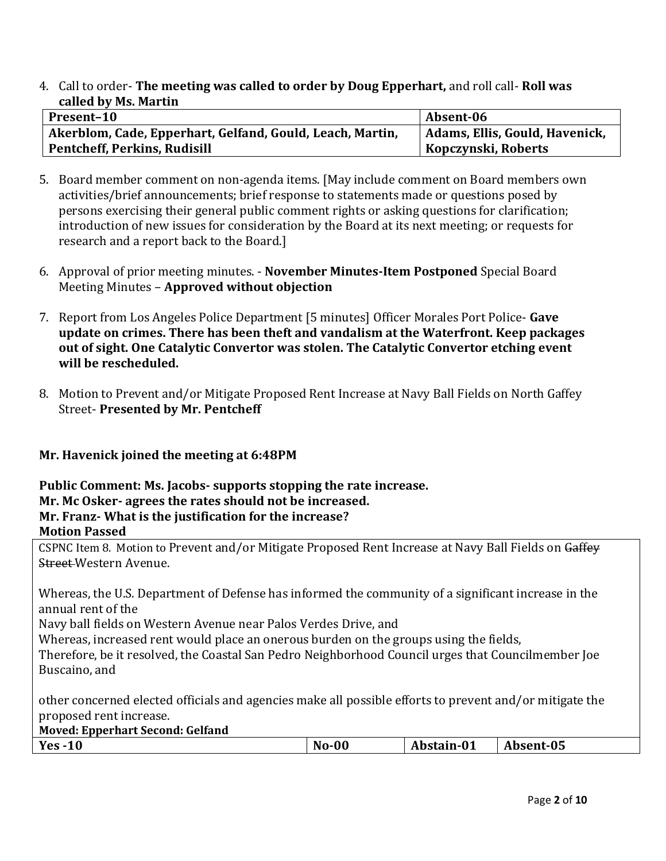4. Call to order- **The meeting was called to order by Doug Epperhart,** and roll call- **Roll was called by Ms. Martin**

| Present-10                                                | Absent-06                      |
|-----------------------------------------------------------|--------------------------------|
| Akerblom, Cade, Epperhart, Gelfand, Gould, Leach, Martin, | Adams, Ellis, Gould, Havenick, |
| <b>Pentcheff, Perkins, Rudisill</b>                       | Kopczynski, Roberts            |

- 5. Board member comment on non-agenda items. [May include comment on Board members own activities/brief announcements; brief response to statements made or questions posed by persons exercising their general public comment rights or asking questions for clarification; introduction of new issues for consideration by the Board at its next meeting; or requests for research and a report back to the Board.]
- 6. Approval of prior meeting minutes. **November Minutes-Item Postponed** Special Board Meeting Minutes – **Approved without objection**
- 7. Report from Los Angeles Police Department [5 minutes] Officer Morales Port Police- **Gave update on crimes. There has been theft and vandalism at the Waterfront. Keep packages out of sight. One Catalytic Convertor was stolen. The Catalytic Convertor etching event will be rescheduled.**
- 8. Motion to Prevent and/or Mitigate Proposed Rent Increase at Navy Ball Fields on North Gaffey Street- **Presented by Mr. Pentcheff**

# **Mr. Havenick joined the meeting at 6:48PM**

## **Public Comment: Ms. Jacobs- supports stopping the rate increase. Mr. Mc Osker- agrees the rates should not be increased. Mr. Franz- What is the justification for the increase? Motion Passed**

CSPNC Item 8. Motion to Prevent and/or Mitigate Proposed Rent Increase at Navy Ball Fields on Gaffey Street Western Avenue.

Whereas, the U.S. Department of Defense has informed the community of a significant increase in the annual rent of the

Navy ball fields on Western Avenue near Palos Verdes Drive, and

Whereas, increased rent would place an onerous burden on the groups using the fields,

Therefore, be it resolved, the Coastal San Pedro Neighborhood Council urges that Councilmember Joe Buscaino, and

other concerned elected officials and agencies make all possible efforts to prevent and/or mitigate the proposed rent increase.

| <b>Moved: Epperhart Second: Gelfand</b> |  |
|-----------------------------------------|--|
|-----------------------------------------|--|

| $Yes -10$ | $No-00$ | Abstain-01 | Absent-05 |
|-----------|---------|------------|-----------|
|-----------|---------|------------|-----------|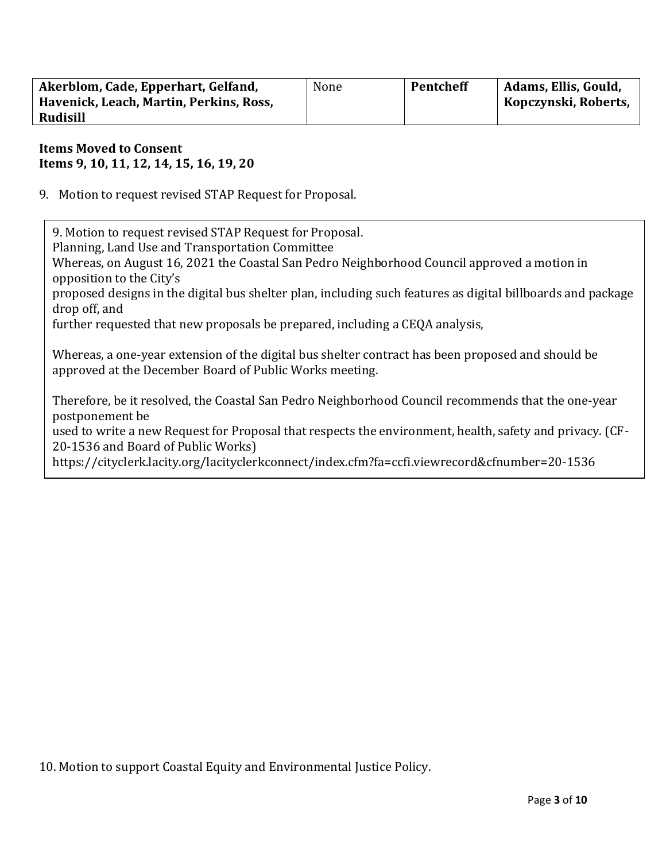| Akerblom, Cade, Epperhart, Gelfand,     | None | Pentcheff | Adams, Ellis, Gould, |
|-----------------------------------------|------|-----------|----------------------|
| Havenick, Leach, Martin, Perkins, Ross, |      |           | Kopczynski, Roberts, |
| <b>Rudisill</b>                         |      |           |                      |

## **Items Moved to Consent Items 9, 10, 11, 12, 14, 15, 16, 19, 20**

9. Motion to request revised STAP Request for Proposal.

9. Motion to request revised STAP Request for Proposal.

Planning, Land Use and Transportation Committee

Whereas, on August 16, 2021 the Coastal San Pedro Neighborhood Council approved a motion in opposition to the City's

proposed designs in the digital bus shelter plan, including such features as digital billboards and package drop off, and

further requested that new proposals be prepared, including a CEQA analysis,

Whereas, a one-year extension of the digital bus shelter contract has been proposed and should be approved at the December Board of Public Works meeting.

Therefore, be it resolved, the Coastal San Pedro Neighborhood Council recommends that the one-year postponement be

used to write a new Request for Proposal that respects the environment, health, safety and privacy. (CF-20-1536 and Board of Public Works)

https://cityclerk.lacity.org/lacityclerkconnect/index.cfm?fa=ccfi.viewrecord&cfnumber=20-1536

10. Motion to support Coastal Equity and Environmental Justice Policy.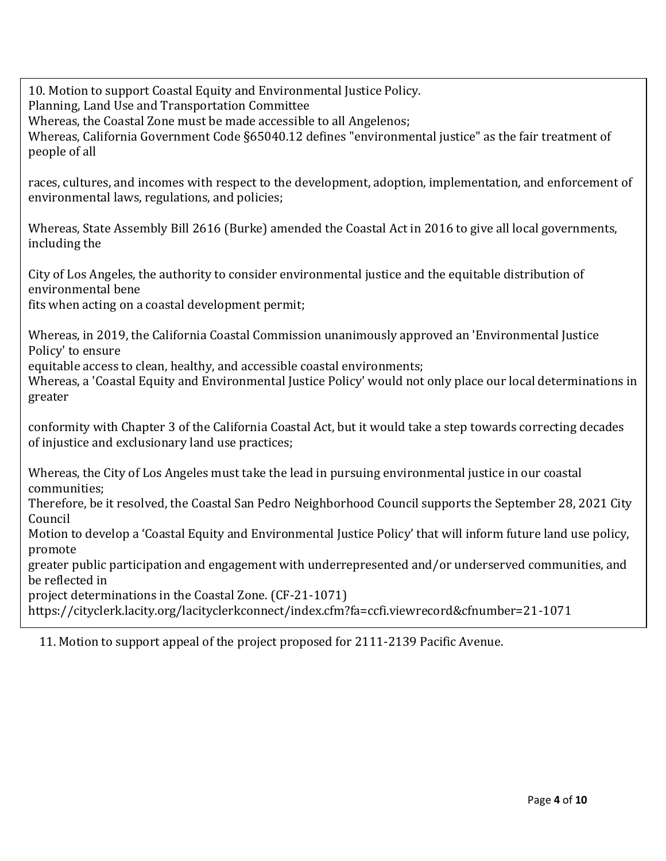10. Motion to support Coastal Equity and Environmental Justice Policy.

Planning, Land Use and Transportation Committee

Whereas, the Coastal Zone must be made accessible to all Angelenos;

Whereas, California Government Code §65040.12 defines "environmental justice" as the fair treatment of people of all

races, cultures, and incomes with respect to the development, adoption, implementation, and enforcement of environmental laws, regulations, and policies;

Whereas, State Assembly Bill 2616 (Burke) amended the Coastal Act in 2016 to give all local governments, including the

City of Los Angeles, the authority to consider environmental justice and the equitable distribution of environmental bene

fits when acting on a coastal development permit;

Whereas, in 2019, the California Coastal Commission unanimously approved an 'Environmental Justice Policy' to ensure

equitable access to clean, healthy, and accessible coastal environments;

Whereas, a 'Coastal Equity and Environmental Justice Policy' would not only place our local determinations in greater

conformity with Chapter 3 of the California Coastal Act, but it would take a step towards correcting decades of injustice and exclusionary land use practices;

Whereas, the City of Los Angeles must take the lead in pursuing environmental justice in our coastal communities;

Therefore, be it resolved, the Coastal San Pedro Neighborhood Council supports the September 28, 2021 City Council

Motion to develop a 'Coastal Equity and Environmental Justice Policy' that will inform future land use policy, promote

greater public participation and engagement with underrepresented and/or underserved communities, and be reflected in

project determinations in the Coastal Zone. (CF-21-1071)

https://cityclerk.lacity.org/lacityclerkconnect/index.cfm?fa=ccfi.viewrecord&cfnumber=21-1071

11. Motion to support appeal of the project proposed for 2111-2139 Pacific Avenue.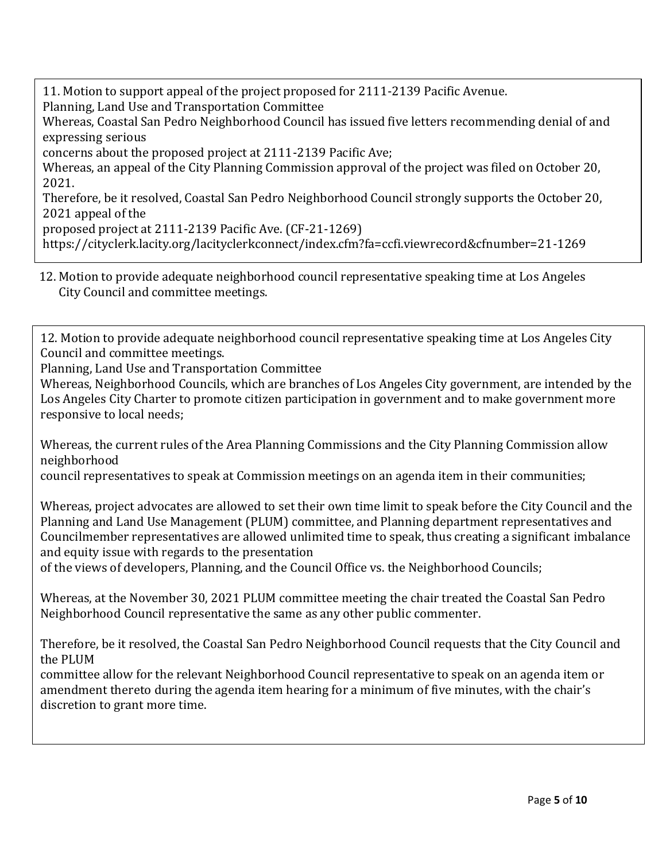11. Motion to support appeal of the project proposed for 2111-2139 Pacific Avenue. Planning, Land Use and Transportation Committee

Whereas, Coastal San Pedro Neighborhood Council has issued five letters recommending denial of and expressing serious

concerns about the proposed project at 2111-2139 Pacific Ave;

Whereas, an appeal of the City Planning Commission approval of the project was filed on October 20, 2021.

Therefore, be it resolved, Coastal San Pedro Neighborhood Council strongly supports the October 20, 2021 appeal of the

proposed project at 2111-2139 Pacific Ave. (CF-21-1269)

https://cityclerk.lacity.org/lacityclerkconnect/index.cfm?fa=ccfi.viewrecord&cfnumber=21-1269

12. Motion to provide adequate neighborhood council representative speaking time at Los Angeles City Council and committee meetings.

12. Motion to provide adequate neighborhood council representative speaking time at Los Angeles City Council and committee meetings.

Planning, Land Use and Transportation Committee

Whereas, Neighborhood Councils, which are branches of Los Angeles City government, are intended by the Los Angeles City Charter to promote citizen participation in government and to make government more responsive to local needs;

Whereas, the current rules of the Area Planning Commissions and the City Planning Commission allow neighborhood

council representatives to speak at Commission meetings on an agenda item in their communities;

Whereas, project advocates are allowed to set their own time limit to speak before the City Council and the Planning and Land Use Management (PLUM) committee, and Planning department representatives and Councilmember representatives are allowed unlimited time to speak, thus creating a significant imbalance and equity issue with regards to the presentation

of the views of developers, Planning, and the Council Office vs. the Neighborhood Councils;

Whereas, at the November 30, 2021 PLUM committee meeting the chair treated the Coastal San Pedro Neighborhood Council representative the same as any other public commenter.

Therefore, be it resolved, the Coastal San Pedro Neighborhood Council requests that the City Council and the PLUM

committee allow for the relevant Neighborhood Council representative to speak on an agenda item or amendment thereto during the agenda item hearing for a minimum of five minutes, with the chair's discretion to grant more time.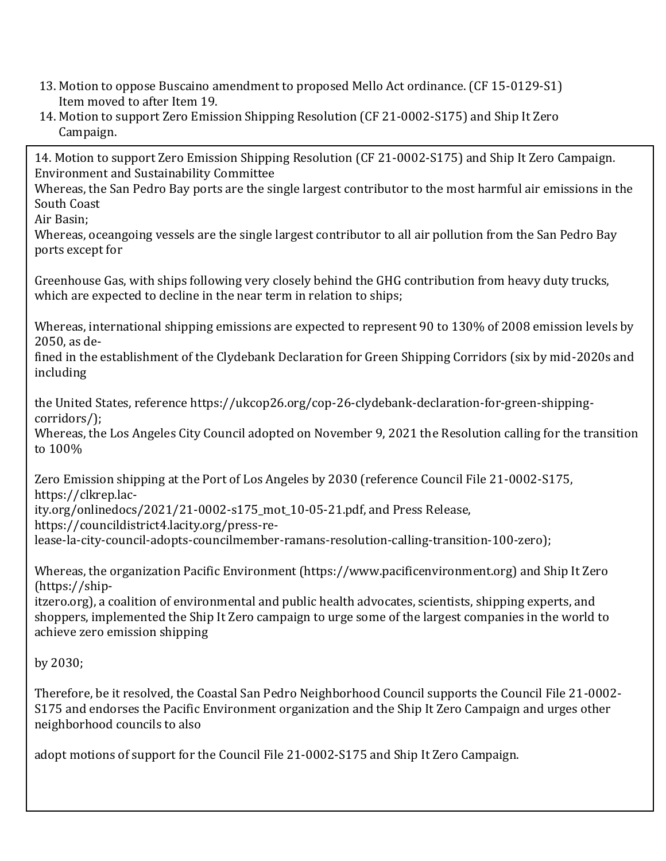- 13. Motion to oppose Buscaino amendment to proposed Mello Act ordinance. (CF 15-0129-S1) Item moved to after Item 19.
- 14. Motion to support Zero Emission Shipping Resolution (CF 21-0002-S175) and Ship It Zero Campaign.

14. Motion to support Zero Emission Shipping Resolution (CF 21-0002-S175) and Ship It Zero Campaign. Environment and Sustainability Committee

Whereas, the San Pedro Bay ports are the single largest contributor to the most harmful air emissions in the South Coast

Air Basin;

Whereas, oceangoing vessels are the single largest contributor to all air pollution from the San Pedro Bay ports except for

Greenhouse Gas, with ships following very closely behind the GHG contribution from heavy duty trucks, which are expected to decline in the near term in relation to ships;

Whereas, international shipping emissions are expected to represent 90 to 130% of 2008 emission levels by 2050, as de-

fined in the establishment of the Clydebank Declaration for Green Shipping Corridors (six by mid-2020s and including

the United States, reference https://ukcop26.org/cop-26-clydebank-declaration-for-green-shippingcorridors/);

Whereas, the Los Angeles City Council adopted on November 9, 2021 the Resolution calling for the transition to 100%

Zero Emission shipping at the Port of Los Angeles by 2030 (reference Council File 21-0002-S175, https://clkrep.lac-

ity.org/onlinedocs/2021/21-0002-s175\_mot\_10-05-21.pdf, and Press Release,

https://councildistrict4.lacity.org/press-re-

lease-la-city-council-adopts-councilmember-ramans-resolution-calling-transition-100-zero);

Whereas, the organization Pacific Environment (https://www.pacificenvironment.org) and Ship It Zero (https://ship-

itzero.org), a coalition of environmental and public health advocates, scientists, shipping experts, and shoppers, implemented the Ship It Zero campaign to urge some of the largest companies in the world to achieve zero emission shipping

by 2030;

Therefore, be it resolved, the Coastal San Pedro Neighborhood Council supports the Council File 21-0002- S175 and endorses the Pacific Environment organization and the Ship It Zero Campaign and urges other neighborhood councils to also

adopt motions of support for the Council File 21-0002-S175 and Ship It Zero Campaign.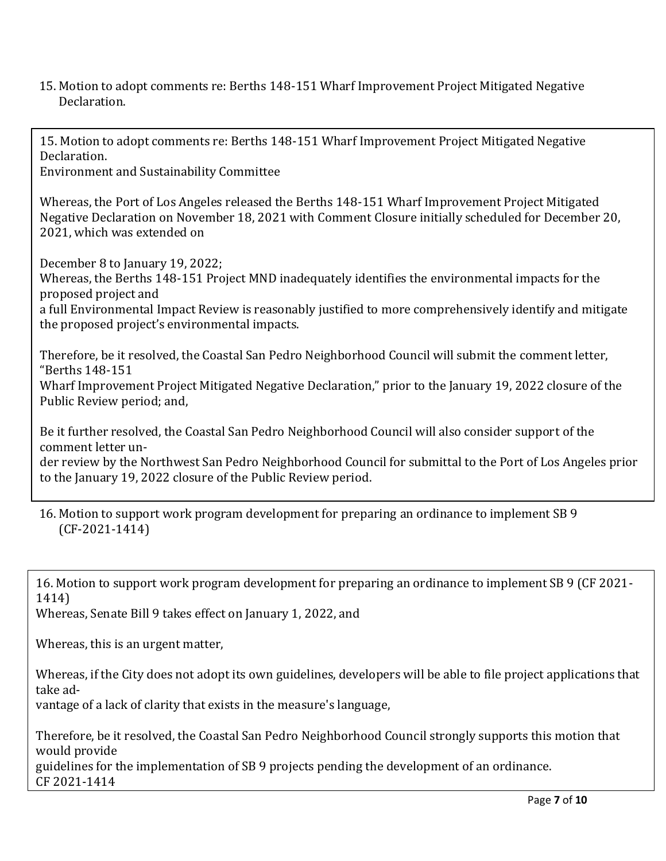15. Motion to adopt comments re: Berths 148-151 Wharf Improvement Project Mitigated Negative Declaration.

15. Motion to adopt comments re: Berths 148-151 Wharf Improvement Project Mitigated Negative Declaration. Environment and Sustainability Committee

Whereas, the Port of Los Angeles released the Berths 148-151 Wharf Improvement Project Mitigated Negative Declaration on November 18, 2021 with Comment Closure initially scheduled for December 20, 2021, which was extended on

December 8 to January 19, 2022; Whereas, the Berths 148-151 Project MND inadequately identifies the environmental impacts for the proposed project and a full Environmental Impact Review is reasonably justified to more comprehensively identify and mitigate the proposed project's environmental impacts.

Therefore, be it resolved, the Coastal San Pedro Neighborhood Council will submit the comment letter, "Berths 148-151

Wharf Improvement Project Mitigated Negative Declaration," prior to the January 19, 2022 closure of the Public Review period; and,

Be it further resolved, the Coastal San Pedro Neighborhood Council will also consider support of the comment letter under review by the Northwest San Pedro Neighborhood Council for submittal to the Port of Los Angeles prior

16. Motion to support work program development for preparing an ordinance to implement SB 9 (CF-2021-1414)

16. Motion to support work program development for preparing an ordinance to implement SB 9 (CF 2021- 1414)

Whereas, Senate Bill 9 takes effect on January 1, 2022, and

to the January 19, 2022 closure of the Public Review period.

Whereas, this is an urgent matter,

Whereas, if the City does not adopt its own guidelines, developers will be able to file project applications that take ad-

vantage of a lack of clarity that exists in the measure's language,

Therefore, be it resolved, the Coastal San Pedro Neighborhood Council strongly supports this motion that would provide guidelines for the implementation of SB 9 projects pending the development of an ordinance.

CF 2021-1414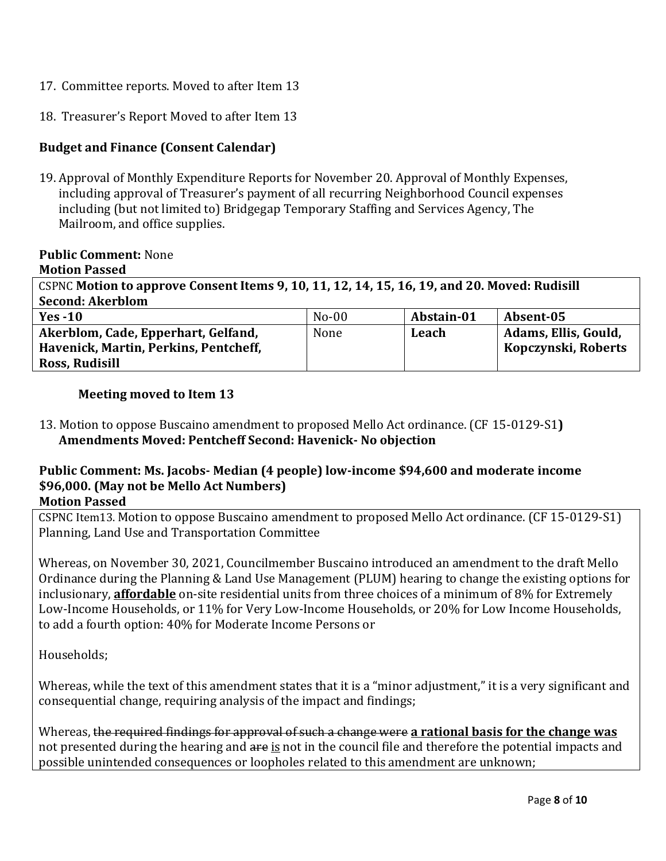- 17. Committee reports. Moved to after Item 13
- 18. Treasurer's Report Moved to after Item 13

# **Budget and Finance (Consent Calendar)**

19. Approval of Monthly Expenditure Reports for November 20. Approval of Monthly Expenses, including approval of Treasurer's payment of all recurring Neighborhood Council expenses including (but not limited to) Bridgegap Temporary Staffing and Services Agency, The Mailroom, and office supplies.

## **Public Comment:** None

**Motion Passed**

CSPNC **Motion to approve Consent Items 9, 10, 11, 12, 14, 15, 16, 19, and 20. Moved: Rudisill Second: Akerblom**

| Yes $-10$                             | $No-00$ | Abstain-01 | Absent-05            |
|---------------------------------------|---------|------------|----------------------|
| Akerblom, Cade, Epperhart, Gelfand,   | None    | Leach      | Adams, Ellis, Gould, |
| Havenick, Martin, Perkins, Pentcheff, |         |            | Kopczynski, Roberts  |
| Ross, Rudisill                        |         |            |                      |

## **Meeting moved to Item 13**

13. Motion to oppose Buscaino amendment to proposed Mello Act ordinance. (CF 15-0129-S1**) Amendments Moved: Pentcheff Second: Havenick- No objection**

#### **Public Comment: Ms. Jacobs- Median (4 people) low-income \$94,600 and moderate income \$96,000. (May not be Mello Act Numbers) Motion Passed**

CSPNC Item13. Motion to oppose Buscaino amendment to proposed Mello Act ordinance. (CF 15-0129-S1) Planning, Land Use and Transportation Committee

Whereas, on November 30, 2021, Councilmember Buscaino introduced an amendment to the draft Mello Ordinance during the Planning & Land Use Management (PLUM) hearing to change the existing options for inclusionary, **affordable** on-site residential units from three choices of a minimum of 8% for Extremely Low-Income Households, or 11% for Very Low-Income Households, or 20% for Low Income Households, to add a fourth option: 40% for Moderate Income Persons or

Households;

Whereas, while the text of this amendment states that it is a "minor adjustment," it is a very significant and consequential change, requiring analysis of the impact and findings;

Whereas, the required findings for approval of such a change were **a rational basis for the change was** not presented during the hearing and are is not in the council file and therefore the potential impacts and possible unintended consequences or loopholes related to this amendment are unknown;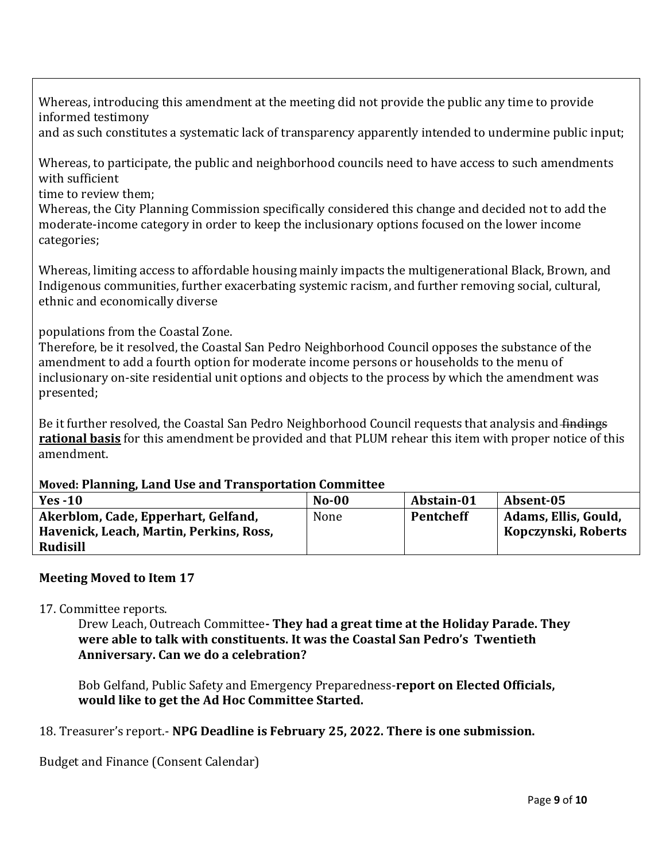Whereas, introducing this amendment at the meeting did not provide the public any time to provide informed testimony

and as such constitutes a systematic lack of transparency apparently intended to undermine public input;

Whereas, to participate, the public and neighborhood councils need to have access to such amendments with sufficient

time to review them;

Whereas, the City Planning Commission specifically considered this change and decided not to add the moderate-income category in order to keep the inclusionary options focused on the lower income categories;

Whereas, limiting access to affordable housing mainly impacts the multigenerational Black, Brown, and Indigenous communities, further exacerbating systemic racism, and further removing social, cultural, ethnic and economically diverse

populations from the Coastal Zone.

Therefore, be it resolved, the Coastal San Pedro Neighborhood Council opposes the substance of the amendment to add a fourth option for moderate income persons or households to the menu of inclusionary on-site residential unit options and objects to the process by which the amendment was presented;

Be it further resolved, the Coastal San Pedro Neighborhood Council requests that analysis and findings **rational basis** for this amendment be provided and that PLUM rehear this item with proper notice of this amendment.

#### **Moved: Planning, Land Use and Transportation Committee**

| Yes $-10$                               | $No-00$ | Abstain-01       | Absent-05            |
|-----------------------------------------|---------|------------------|----------------------|
| Akerblom, Cade, Epperhart, Gelfand,     | None    | <b>Pentcheff</b> | Adams, Ellis, Gould, |
| Havenick, Leach, Martin, Perkins, Ross, |         |                  | Kopczynski, Roberts  |
| Rudisill                                |         |                  |                      |

# **Meeting Moved to Item 17**

## 17. Committee reports.

Drew Leach, Outreach Committee**- They had a great time at the Holiday Parade. They were able to talk with constituents. It was the Coastal San Pedro's Twentieth Anniversary. Can we do a celebration?**

Bob Gelfand, Public Safety and Emergency Preparedness-**report on Elected Officials, would like to get the Ad Hoc Committee Started.** 

## 18. Treasurer's report.- **NPG Deadline is February 25, 2022. There is one submission.**

Budget and Finance (Consent Calendar)